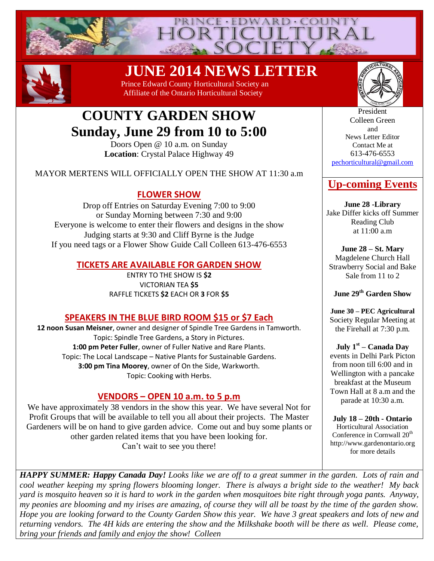



 **JUNE 2014 NEWS LETTER** 

 Prince Edward County Horticultural Society an Affiliate of the Ontario Horticultural Society



# **COUNTY GARDEN SHOW Sunday, June 29 from 10 to 5:00**

Doors Open @ 10 a.m. on Sunday **Location**: Crystal Palace Highway 49

MAYOR MERTENS WILL OFFICIALLY OPEN THE SHOW AT 11:30 a.m

### **FLOWER SHOW**

Drop off Entries on Saturday Evening 7:00 to 9:00 or Sunday Morning between 7:30 and 9:00 Everyone is welcome to enter their flowers and designs in the show Judging starts at 9:30 and Cliff Byrne is the Judge If you need tags or a Flower Show Guide Call Colleen 613-476-6553

### **TICKETS ARE AVAILABLE FOR GARDEN SHOW**

ENTRY TO THE SHOW IS **\$2** VICTORIAN TEA **\$5** RAFFLE TICKETS **\$2** EACH OR **3** FOR **\$5**

# **SPEAKERS IN THE BLUE BIRD ROOM \$15 or \$7 Each**

**12 noon Susan Meisner**, owner and designer of Spindle Tree Gardens in Tamworth. Topic: Spindle Tree Gardens, a Story in Pictures. **1:00 pm Peter Fuller**, owner of Fuller Native and Rare Plants. Topic: The Local Landscape – Native Plants for Sustainable Gardens. **3:00 pm Tina Moorey**, owner of On the Side, Warkworth. Topic: Cooking with Herbs.

# **VENDORS – OPEN 10 a.m. to 5 p.m**

We have approximately 38 vendors in the show this year. We have several Not for Profit Groups that will be available to tell you all about their projects. The Master Gardeners will be on hand to give garden advice. Come out and buy some plants or other garden related items that you have been looking for. Can't wait to see you there!

President Colleen Green and News Letter Editor Contact Me at 613-476-6553 [pechorticultural@gmail.com](mailto:pechorticultural@gmail.com)

# **Up-coming Events**

**June 28 -Library**  Jake Differ kicks off Summer Reading Club at 11:00 a.m

**June 28 – St. Mary**  Magdelene Church Hall Strawberry Social and Bake Sale from 11 to 2

**June 29th Garden Show**

**June 30 – PEC Agricultural** Society Regular Meeting at the Firehall at 7:30 p.m.

**July 1st – Canada Day** events in Delhi Park Picton from noon till 6:00 and in Wellington with a pancake breakfast at the Museum Town Hall at 8 a.m and the parade at 10:30 a.m.

**July 18 – 20th - Ontario** Horticultural Association Conference in Cornwall 20<sup>th</sup> http://www.gardenontario.org for more details

*HAPPY SUMMER: Happy Canada Day! Looks like we are off to a great summer in the garden. Lots of rain and cool weather keeping my spring flowers blooming longer. There is always a bright side to the weather! My back yard is mosquito heaven so it is hard to work in the garden when mosquitoes bite right through yoga pants. Anyway, my peonies are blooming and my irises are amazing, of course they will all be toast by the time of the garden show. Hope you are looking forward to the County Garden Show this year. We have 3 great speakers and lots of new and returning vendors. The 4H kids are entering the show and the Milkshake booth will be there as well. Please come, bring your friends and family and enjoy the show! Colleen*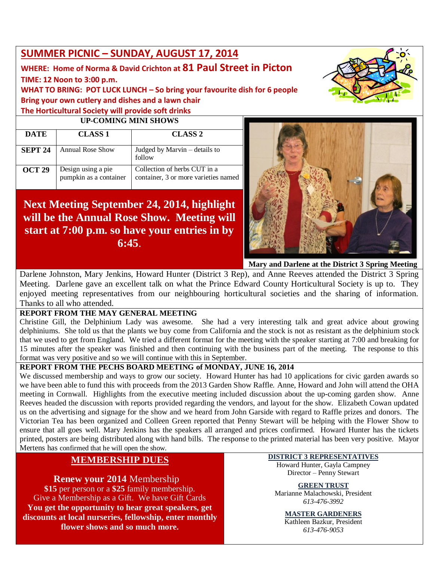# **SUMMER PICNIC – SUNDAY, AUGUST 17, 2014**

# **WHERE: Home of Norma & David Crichton at 81 Paul Street in Picton**

**TIME: 12 Noon to 3:00 p.m.**

**WHAT TO BRING: POT LUCK LUNCH – So bring your favourite dish for 6 people Bring your own cutlery and dishes and a lawn chair The Horticultural Society will provide soft drinks**

#### **UP-COMING MINI SHOWS**

| <b>DATE</b>    | <b>CLASS 1</b>                               | <b>CLASS 2</b>                                                       |
|----------------|----------------------------------------------|----------------------------------------------------------------------|
| <b>SEPT 24</b> | <b>Annual Rose Show</b>                      | Judged by Marvin – details to<br>follow                              |
| <b>OCT 29</b>  | Design using a pie<br>pumpkin as a container | Collection of herbs CUT in a<br>container, 3 or more varieties named |

# **Next Meeting September 24, 2014, highlight will be the Annual Rose Show. Meeting will start at 7:00 p.m. so have your entries in by 6:45**.



**Mary and Darlene at the District 3 Spring Meeting**

Darlene Johnston, Mary Jenkins, Howard Hunter (District 3 Rep), and Anne Reeves attended the District 3 Spring Meeting. Darlene gave an excellent talk on what the Prince Edward County Horticultural Society is up to. They enjoyed meeting representatives from our neighbouring horticultural societies and the sharing of information. Thanks to all who attended.

### **REPORT FROM THE MAY GENERAL MEETING**

Christine Gill, the Delphinium Lady was awesome. She had a very interesting talk and great advice about growing delphiniums. She told us that the plants we buy come from California and the stock is not as resistant as the delphinium stock that we used to get from England. We tried a different format for the meeting with the speaker starting at 7:00 and breaking for 15 minutes after the speaker was finished and then continuing with the business part of the meeting. The response to this format was very positive and so we will continue with this in September.

### **REPORT FROM THE PECHS BOARD MEETING of MONDAY, JUNE 16, 2014**

We discussed membership and ways to grow our society. Howard Hunter has had 10 applications for civic garden awards so we have been able to fund this with proceeds from the 2013 Garden Show Raffle. Anne, Howard and John will attend the OHA meeting in Cornwall. Highlights from the executive meeting included discussion about the up-coming garden show. Anne Reeves headed the discussion with reports provided regarding the vendors, and layout for the show. Elizabeth Cowan updated us on the advertising and signage for the show and we heard from John Garside with regard to Raffle prizes and donors. The Victorian Tea has been organized and Colleen Green reported that Penny Stewart will be helping with the Flower Show to ensure that all goes well. Mary Jenkins has the speakers all arranged and prices confirmed. Howard Hunter has the tickets printed, posters are being distributed along with hand bills. The response to the printed material has been very positive. Mayor Mertens has confirmed that he will open the show.

# **MEMBERSHIP DUES**

**Renew your 2014** Membership **\$15** per person or a **\$25** family membership. Give a Membership as a Gift. We have Gift Cards **You get the opportunity to hear great speakers, get discounts at local nurseries, fellowship, enter monthly flower shows and so much more.**

#### **DISTRICT 3 REPRESENTATIVES** Howard Hunter, Gayla Campney Director – Penny Stewart

**GREEN TRUST** Marianne Malachowski, President *613-476-3992*

# **MASTER GARDENERS**

Kathleen Bazkur, President *613-476-9053*